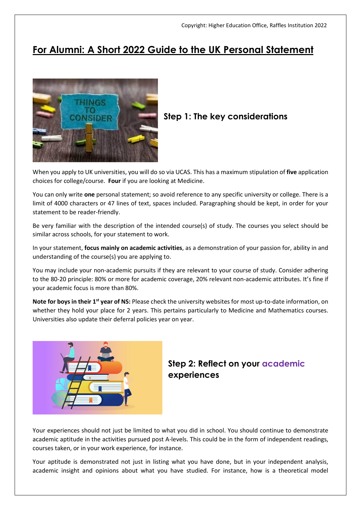# **For Alumni: A Short 2022 Guide to the UK Personal Statement**



# **Step 1: The key considerations**

When you apply to UK universities, you will do so via UCAS. This has a maximum stipulation of **five** application choices for college/course. **Four** if you are looking at Medicine.

You can only write **one** personal statement; so avoid reference to any specific university or college. There is a limit of 4000 characters or 47 lines of text, spaces included. Paragraphing should be kept, in order for your statement to be reader-friendly.

Be very familiar with the description of the intended course(s) of study. The courses you select should be similar across schools, for your statement to work.

In your statement, **focus mainly on academic activities**, as a demonstration of your passion for, ability in and understanding of the course(s) you are applying to.

You may include your non-academic pursuits if they are relevant to your course of study. Consider adhering to the 80-20 principle: 80% or more for academic coverage, 20% relevant non-academic attributes. It's fine if your academic focus is more than 80%.

**Note for boys in their 1st year of NS:** Please check the university websites for most up-to-date information, on whether they hold your place for 2 years. This pertains particularly to Medicine and Mathematics courses. Universities also update their deferral policies year on year.



### **Step 2: Reflect on your academic experiences**

Your experiences should not just be limited to what you did in school. You should continue to demonstrate academic aptitude in the activities pursued post A-levels. This could be in the form of independent readings, courses taken, or in your work experience, for instance.

Your aptitude is demonstrated not just in listing what you have done, but in your independent analysis, academic insight and opinions about what you have studied. For instance, how is a theoretical model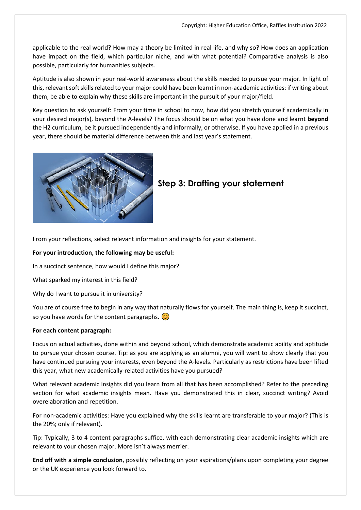applicable to the real world? How may a theory be limited in real life, and why so? How does an application have impact on the field, which particular niche, and with what potential? Comparative analysis is also possible, particularly for humanities subjects.

Aptitude is also shown in your real-world awareness about the skills needed to pursue your major. In light of this, relevant soft skills related to your major could have been learnt in non-academic activities: if writing about them, be able to explain why these skills are important in the pursuit of your major/field.

Key question to ask yourself: From your time in school to now, how did you stretch yourself academically in your desired major(s), beyond the A-levels? The focus should be on what you have done and learnt **beyond** the H2 curriculum, be it pursued independently and informally, or otherwise. If you have applied in a previous year, there should be material difference between this and last year's statement.



### **Step 3: Drafting your statement**

From your reflections, select relevant information and insights for your statement.

#### **For your introduction, the following may be useful:**

In a succinct sentence, how would I define this major?

What sparked my interest in this field?

Why do I want to pursue it in university?

You are of course free to begin in any way that naturally flows for yourself. The main thing is, keep it succinct, so you have words for the content paragraphs.  $\odot$ 

#### **For each content paragraph:**

Focus on actual activities, done within and beyond school, which demonstrate academic ability and aptitude to pursue your chosen course. Tip: as you are applying as an alumni, you will want to show clearly that you have continued pursuing your interests, even beyond the A-levels. Particularly as restrictions have been lifted this year, what new academically-related activities have you pursued?

What relevant academic insights did you learn from all that has been accomplished? Refer to the preceding section for what academic insights mean. Have you demonstrated this in clear, succinct writing? Avoid overelaboration and repetition.

For non-academic activities: Have you explained why the skills learnt are transferable to your major? (This is the 20%; only if relevant).

Tip: Typically, 3 to 4 content paragraphs suffice, with each demonstrating clear academic insights which are relevant to your chosen major. More isn't always merrier.

**End off with a simple conclusion**, possibly reflecting on your aspirations/plans upon completing your degree or the UK experience you look forward to.